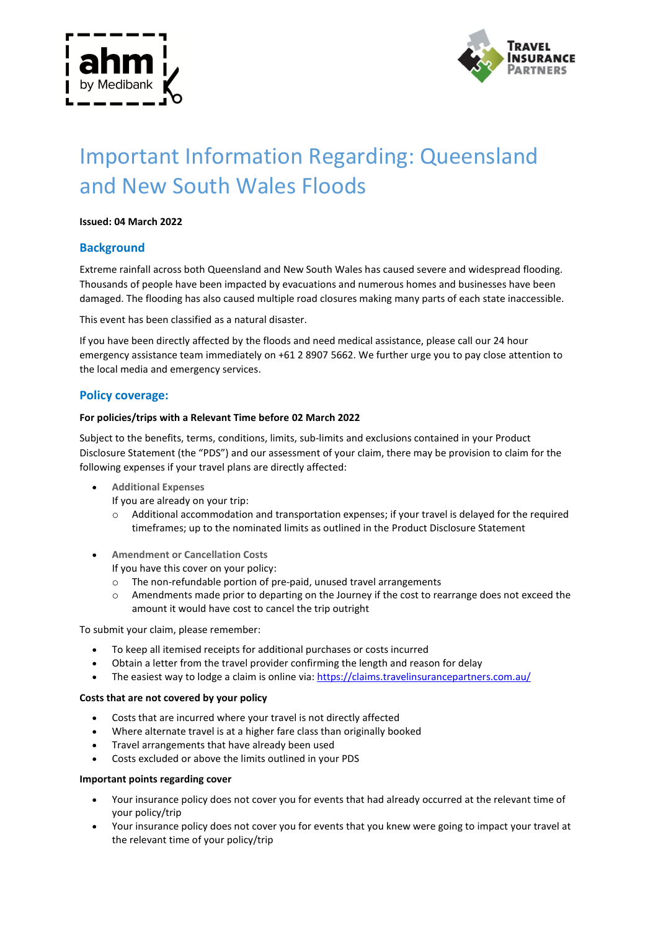



# Important Information Regarding: Queensland and New South Wales Floods

#### **Issued: 04 March 2022**

## **Background**

Extreme rainfall across both Queensland and New South Wales has caused severe and widespread flooding. Thousands of people have been impacted by evacuations and numerous homes and businesses have been damaged. The flooding has also caused multiple road closures making many parts of each state inaccessible.

This event has been classified as a natural disaster.

If you have been directly affected by the floods and need medical assistance, please call our 24 hour emergency assistance team immediately on +61 2 8907 5662. We further urge you to pay close attention to the local media and emergency services.

## **Policy coverage:**

#### **For policies/trips with a Relevant Time before 02 March 2022**

Subject to the benefits, terms, conditions, limits, sub-limits and exclusions contained in your Product Disclosure Statement (the "PDS") and our assessment of your claim, there may be provision to claim for the following expenses if your travel plans are directly affected:

- **Additional Expenses**
	- If you are already on your trip:
	- $\circ$  Additional accommodation and transportation expenses; if your travel is delayed for the required timeframes; up to the nominated limits as outlined in the Product Disclosure Statement
- **Amendment or Cancellation Costs**

If you have this cover on your policy:

- The non-refundable portion of pre-paid, unused travel arrangements
- o Amendments made prior to departing on the Journey if the cost to rearrange does not exceed the amount it would have cost to cancel the trip outright

To submit your claim, please remember:

- To keep all itemised receipts for additional purchases or costs incurred
- Obtain a letter from the travel provider confirming the length and reason for delay
- The easiest way to lodge a claim is online via: https://claims.travelinsurancepartners.com.au/

#### **Costs that are not covered by your policy**

- Costs that are incurred where your travel is not directly affected
- Where alternate travel is at a higher fare class than originally booked
- Travel arrangements that have already been used
- Costs excluded or above the limits outlined in your PDS

#### **Important points regarding cover**

- Your insurance policy does not cover you for events that had already occurred at the relevant time of your policy/trip
- Your insurance policy does not cover you for events that you knew were going to impact your travel at the relevant time of your policy/trip